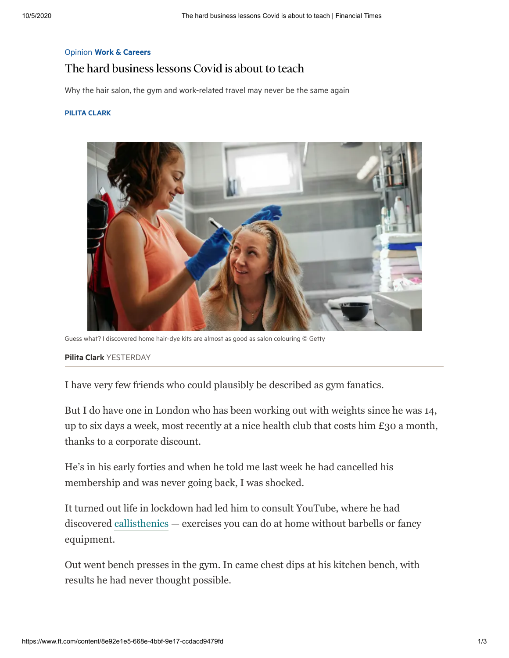## Opinion Work & [Careers](https://www.ft.com/work-careers)

## The hard business lessons Covid is about to teach

Why the hair salon, the gym and work-related travel may never be the same again

## PILITA [CLARK](https://www.ft.com/pilita-clark)



Guess what? I discovered home hair-dye kits are almost as good as salon colouring © Getty

## Pilita [Clark](https://www.ft.com/pilita-clark) YESTERDAY

I have very few friends who could plausibly be described as gym fanatics.

But I do have one in London who has been working out with weights since he was 14, up to six days a week, most recently at a nice health club that costs him £30 a month, thanks to a corporate discount.

He's in his early forties and when he told me last week he had cancelled his membership and was never going back, I was shocked.

It turned out life in lockdown had led him to consult YouTube, where he had discovered [callisthenics](https://www.britannica.com/sports/calisthenics) — exercises you can do at home without barbells or fancy equipment.

Out went bench presses in the gym. In came chest dips at his kitchen bench, with results he had never thought possible.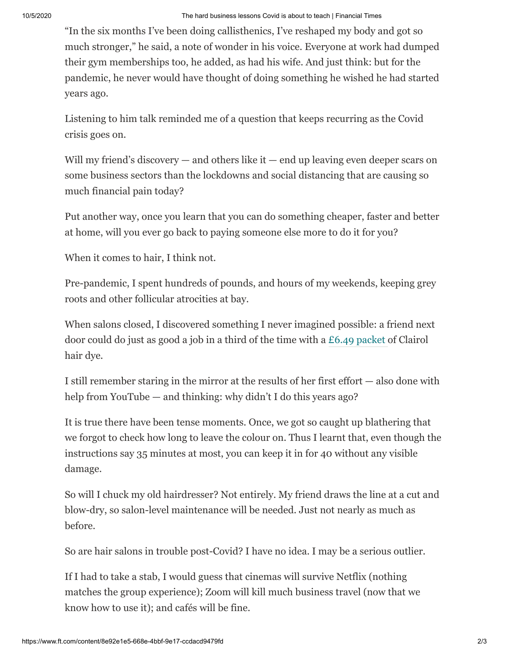"In the six months I've been doing callisthenics, I've reshaped my body and got so much stronger," he said, a note of wonder in his voice. Everyone at work had dumped their gym memberships too, he added, as had his wife. And just think: but for the pandemic, he never would have thought of doing something he wished he had started years ago.

Listening to him talk reminded me of a question that keeps recurring as the Covid crisis goes on.

Will my friend's discovery — and others like it — end up leaving even deeper scars on some business sectors than the lockdowns and social distancing that are causing so much financial pain today?

Put another way, once you learn that you can do something cheaper, faster and better at home, will you ever go back to paying someone else more to do it for you?

When it comes to hair, I think not.

Pre-pandemic, I spent hundreds of pounds, and hours of my weekends, keeping grey roots and other follicular atrocities at bay.

When salons closed, I discovered something I never imagined possible: a friend next door could do just as good a job in a third of the time with a [£6.49 packet](https://www.superdrug.com/Hair/Hair-Colourants/Permanent-Hair-Dye/Nice%27n-Easy-8-Medium-Blonde/p/751302?gclid=CjwKCAjwn9v7BRBqEiwAbq1Ey_0c3Rfk6ZIWSmX5jMYgS4iOSpbRL1cFTPZUOLRB--Bf4tgylKQwRxoCoZwQAvD_BwE&gclsrc=aw.ds) of Clairol hair dye.

I still remember staring in the mirror at the results of her first effort — also done with help from YouTube — and thinking: why didn't I do this years ago?

It is true there have been tense moments. Once, we got so caught up blathering that we forgot to check how long to leave the colour on. Thus I learnt that, even though the instructions say 35 minutes at most, you can keep it in for 40 without any visible damage.

So will I chuck my old hairdresser? Not entirely. My friend draws the line at a cut and blow-dry, so salon-level maintenance will be needed. Just not nearly as much as before.

So are hair salons in trouble post-Covid? I have no idea. I may be a serious outlier.

If I had to take a stab, I would guess that cinemas will survive Netflix (nothing matches the group experience); Zoom will kill much business travel (now that we know how to use it); and cafés will be fine.